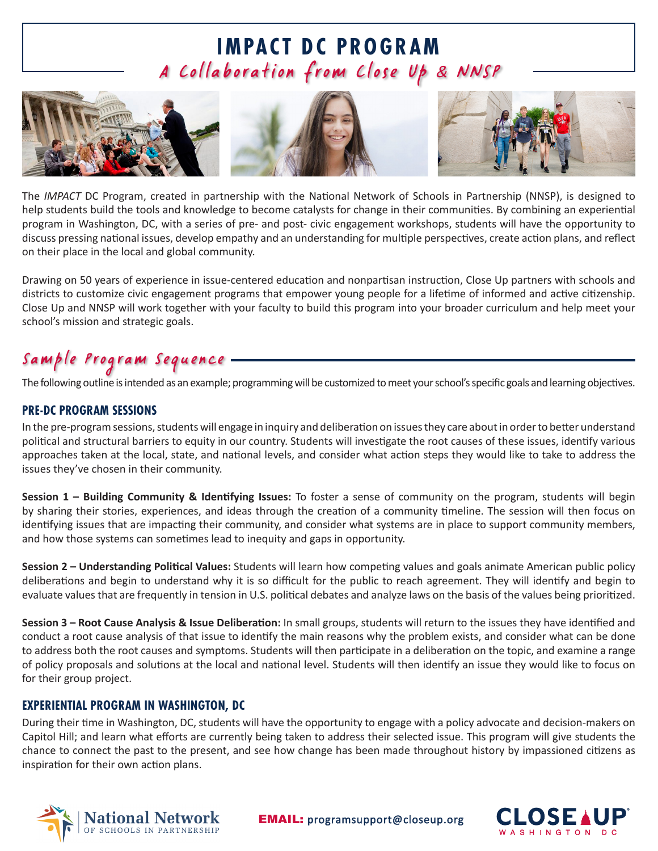# **IMPACT DC PROGRAM** A Collaboration from Close Up & NNSP



The *IMPACT* DC Program, created in partnership with the National Network of Schools in Partnership (NNSP), is designed to help students build the tools and knowledge to become catalysts for change in their communities. By combining an experiential program in Washington, DC, with a series of pre- and post- civic engagement workshops, students will have the opportunity to discuss pressing national issues, develop empathy and an understanding for multiple perspectives, create action plans, and reflect on their place in the local and global community.

Drawing on 50 years of experience in issue-centered education and nonpartisan instruction, Close Up partners with schools and districts to customize civic engagement programs that empower young people for a lifetime of informed and active citizenship. Close Up and NNSP will work together with your faculty to build this program into your broader curriculum and help meet your school's mission and strategic goals.

## Sample Program Sequence

The following outline is intended as an example; programming will be customized to meet your school's specific goals and learning objectives.

#### **PRE-DC PROGRAM SESSIONS**

In the pre-program sessions, students will engage in inquiry and deliberation on issues they care about in order to better understand political and structural barriers to equity in our country. Students will investigate the root causes of these issues, identify various approaches taken at the local, state, and national levels, and consider what action steps they would like to take to address the issues they've chosen in their community.

**Session 1 – Building Community & Identifying Issues:** To foster a sense of community on the program, students will begin by sharing their stories, experiences, and ideas through the creation of a community timeline. The session will then focus on identifying issues that are impacting their community, and consider what systems are in place to support community members, and how those systems can sometimes lead to inequity and gaps in opportunity.

**Session 2 – Understanding Political Values:** Students will learn how competing values and goals animate American public policy deliberations and begin to understand why it is so difficult for the public to reach agreement. They will identify and begin to evaluate values that are frequently in tension in U.S. political debates and analyze laws on the basis of the values being prioritized.

**Session 3 – Root Cause Analysis & Issue Deliberation:** In small groups, students will return to the issues they have identified and conduct a root cause analysis of that issue to identify the main reasons why the problem exists, and consider what can be done to address both the root causes and symptoms. Students will then participate in a deliberation on the topic, and examine a range of policy proposals and solutions at the local and national level. Students will then identify an issue they would like to focus on for their group project.

#### **EXPERIENTIAL PROGRAM IN WASHINGTON, DC**

During their time in Washington, DC, students will have the opportunity to engage with a policy advocate and decision-makers on Capitol Hill; and learn what efforts are currently being taken to address their selected issue. This program will give students the chance to connect the past to the present, and see how change has been made throughout history by impassioned citizens as inspiration for their own action plans.



EMAIL: [programsupport@closeup.org](mailto:info%40closeup.org?subject=)